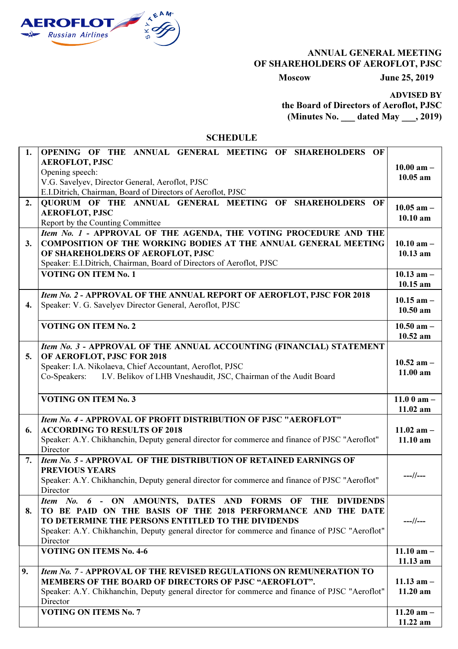

## ANNUAL GENERAL MEETING OF SHAREHOLDERS OF AEROFLOT, PJSC

Moscow June 25, 2019

ADVISED BY

the Board of Directors of Aeroflot, PJSC (Minutes No. \_\_\_ dated May \_\_\_, 2019)

**SCHEDULE** 

| 1.               | OPENING OF THE ANNUAL GENERAL MEETING OF SHAREHOLDERS OF                                       |                |
|------------------|------------------------------------------------------------------------------------------------|----------------|
|                  | <b>AEROFLOT, PJSC</b>                                                                          |                |
|                  | Opening speech:                                                                                | $10.00$ am $-$ |
|                  | V.G. Savelyev, Director General, Aeroflot, PJSC                                                | $10.05$ am     |
|                  | E.I.Ditrich, Chairman, Board of Directors of Aeroflot, PJSC                                    |                |
| 2.               | QUORUM OF THE ANNUAL GENERAL MEETING OF SHAREHOLDERS OF                                        |                |
|                  | <b>AEROFLOT, PJSC</b>                                                                          | $10.05$ am $-$ |
|                  | Report by the Counting Committee                                                               | $10.10$ am     |
|                  | Item No. 1 - APPROVAL OF THE AGENDA, THE VOTING PROCEDURE AND THE                              |                |
| 3.               | <b>COMPOSITION OF THE WORKING BODIES AT THE ANNUAL GENERAL MEETING</b>                         | $10.10$ am $-$ |
|                  |                                                                                                |                |
|                  | OF SHAREHOLDERS OF AEROFLOT, PJSC                                                              | $10.13$ am     |
|                  | Speaker: E.I.Ditrich, Chairman, Board of Directors of Aeroflot, PJSC                           |                |
|                  | <b>VOTING ON ITEM No. 1</b>                                                                    | 10.13 $am -$   |
|                  |                                                                                                | $10.15$ am     |
|                  | Item No. 2 - APPROVAL OF THE ANNUAL REPORT OF AEROFLOT, PJSC FOR 2018                          |                |
| $\overline{4}$ . | Speaker: V. G. Savelyev Director General, Aeroflot, PJSC                                       | $10.15$ am $-$ |
|                  |                                                                                                | $10.50$ am     |
|                  | <b>VOTING ON ITEM No. 2</b>                                                                    | $10.50$ am $-$ |
|                  |                                                                                                | 10.52 am       |
|                  | Item No. 3 - APPROVAL OF THE ANNUAL ACCOUNTING (FINANCIAL) STATEMENT                           |                |
|                  |                                                                                                |                |
| 5.               | OF AEROFLOT, PJSC FOR 2018                                                                     | $10.52$ am $-$ |
|                  | Speaker: I.A. Nikolaeva, Chief Accountant, Aeroflot, PJSC                                      | $11.00$ am     |
|                  | I.V. Belikov of LHB Vneshaudit, JSC, Chairman of the Audit Board<br>Co-Speakers:               |                |
|                  |                                                                                                |                |
|                  | <b>VOTING ON ITEM No. 3</b>                                                                    | 11.0 0 am $-$  |
|                  |                                                                                                | $11.02$ am     |
|                  | Item No. 4 - APPROVAL OF PROFIT DISTRIBUTION OF PJSC "AEROFLOT"                                |                |
| 6.               | <b>ACCORDING TO RESULTS OF 2018</b>                                                            | 11.02 $am -$   |
|                  | Speaker: A.Y. Chikhanchin, Deputy general director for commerce and finance of PJSC "Aeroflot" | $11.10$ am     |
|                  | Director                                                                                       |                |
| 7.               | Item No. 5 - APPROVAL OF THE DISTRIBUTION OF RETAINED EARNINGS OF                              |                |
|                  |                                                                                                |                |
|                  | <b>PREVIOUS YEARS</b>                                                                          | $---//---$     |
|                  | Speaker: A.Y. Chikhanchin, Deputy general director for commerce and finance of PJSC "Aeroflot" |                |
|                  | Director                                                                                       |                |
|                  | Item No. 6 - ON AMOUNTS, DATES AND FORMS OF THE DIVIDENDS                                      |                |
| 8.               | TO BE PAID ON THE BASIS OF THE 2018 PERFORMANCE AND THE DATE                                   |                |
|                  | TO DETERMINE THE PERSONS ENTITLED TO THE DIVIDENDS                                             | $---//---$     |
|                  | Speaker: A.Y. Chikhanchin, Deputy general director for commerce and finance of PJSC "Aeroflot" |                |
|                  | Director                                                                                       |                |
|                  | <b>VOTING ON ITEMS No. 4-6</b>                                                                 | 11.10 $am -$   |
|                  |                                                                                                | 11.13 am       |
| 9.               | Item No. 7 - APPROVAL OF THE REVISED REGULATIONS ON REMUNERATION TO                            |                |
|                  | MEMBERS OF THE BOARD OF DIRECTORS OF PJSC "AEROFLOT".                                          | 11.13 $am -$   |
|                  | Speaker: A.Y. Chikhanchin, Deputy general director for commerce and finance of PJSC "Aeroflot" | $11.20$ am     |
|                  | Director                                                                                       |                |
|                  | <b>VOTING ON ITEMS No. 7</b>                                                                   |                |
|                  |                                                                                                | 11.20 $am -$   |
|                  |                                                                                                | 11.22 am       |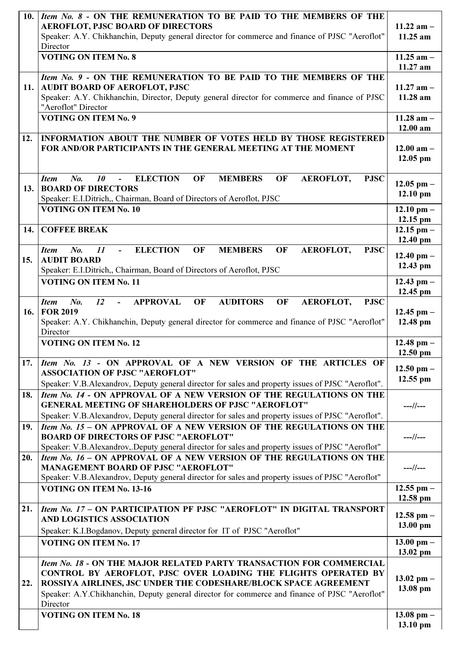| 10. | Item No. 8 - ON THE REMUNERATION TO BE PAID TO THE MEMBERS OF THE<br><b>AEROFLOT, PJSC BOARD OF DIRECTORS</b><br>Speaker: A.Y. Chikhanchin, Deputy general director for commerce and finance of PJSC "Aeroflot"<br>Director                                                                                           | 11.22 am $-$<br>$11.25$ am |
|-----|-----------------------------------------------------------------------------------------------------------------------------------------------------------------------------------------------------------------------------------------------------------------------------------------------------------------------|----------------------------|
|     | <b>VOTING ON ITEM No. 8</b>                                                                                                                                                                                                                                                                                           | 11.25 am $-$<br>11.27 am   |
| 11. | Item No. 9 - ON THE REMUNERATION TO BE PAID TO THE MEMBERS OF THE<br><b>AUDIT BOARD OF AEROFLOT, PJSC</b><br>Speaker: A.Y. Chikhanchin, Director, Deputy general director for commerce and finance of PJSC<br>"Aeroflot" Director                                                                                     | 11.27 am $-$<br>11.28 am   |
|     | <b>VOTING ON ITEM No. 9</b>                                                                                                                                                                                                                                                                                           | 11.28 $am -$<br>12.00 am   |
| 12. | INFORMATION ABOUT THE NUMBER OF VOTES HELD BY THOSE REGISTERED<br>FOR AND/OR PARTICIPANTS IN THE GENERAL MEETING AT THE MOMENT                                                                                                                                                                                        | 12.00 $am -$<br>$12.05$ pm |
| 13. | <b>ELECTION</b><br><b>MEMBERS</b><br>No.<br>10<br>OF<br>OF<br>AEROFLOT,<br><b>PJSC</b><br><b>Item</b><br>$\blacksquare$<br><b>BOARD OF DIRECTORS</b><br>Speaker: E.I.Ditrich,, Chairman, Board of Directors of Aeroflot, PJSC                                                                                         | 12.05 pm $-$<br>$12.10$ pm |
|     | <b>VOTING ON ITEM No. 10</b>                                                                                                                                                                                                                                                                                          | 12.10 pm $-$<br>12.15 pm   |
| 14. | <b>COFFEE BREAK</b>                                                                                                                                                                                                                                                                                                   | 12.15 pm $-$<br>12.40 pm   |
| 15. | <b>ELECTION</b><br>$N0$ .<br>II<br>OF<br><b>MEMBERS</b><br>OF<br>AEROFLOT,<br><b>Item</b><br><b>PJSC</b><br>$\blacksquare$<br><b>AUDIT BOARD</b><br>Speaker: E.I.Ditrich,, Chairman, Board of Directors of Aeroflot, PJSC                                                                                             | 12.40 pm $-$<br>12.43 pm   |
|     | <b>VOTING ON ITEM No. 11</b>                                                                                                                                                                                                                                                                                          | 12.43 pm $-$<br>12.45 pm   |
| 16. | <b>AUDITORS</b><br>No.<br>12<br><b>APPROVAL</b><br>AEROFLOT,<br>OF<br>OF<br><b>PJSC</b><br><b>Item</b><br><b>FOR 2019</b><br>Speaker: A.Y. Chikhanchin, Deputy general director for commerce and finance of PJSC "Aeroflot"<br>Director                                                                               | 12.45 pm $-$<br>12.48 pm   |
|     | <b>VOTING ON ITEM No. 12</b>                                                                                                                                                                                                                                                                                          | 12.48 pm $-$<br>12.50 pm   |
| 17. | Item No. 13 - ON APPROVAL OF A NEW VERSION OF THE ARTICLES OF<br><b>ASSOCIATION OF PJSC "AEROFLOT"</b><br>Speaker: V.B.Alexandrov, Deputy general director for sales and property issues of PJSC "Aeroflot".                                                                                                          | 12.50 pm $-$<br>$12.55$ pm |
| 18. | Item No. 14 - ON APPROVAL OF A NEW VERSION OF THE REGULATIONS ON THE<br><b>GENERAL MEETING OF SHAREHOLDERS OF PJSC "AEROFLOT"</b><br>Speaker: V.B.Alexandrov, Deputy general director for sales and property issues of PJSC "Aeroflot".                                                                               | $---//---$                 |
| 19. | Item No. 15 - ON APPROVAL OF A NEW VERSION OF THE REGULATIONS ON THE<br><b>BOARD OF DIRECTORS OF PJSC "AEROFLOT"</b><br>Speaker: V.B.Alexandrov, Deputy general director for sales and property issues of PJSC "Aeroflot"                                                                                             | $---//---$                 |
| 20. | Item No. 16 - ON APPROVAL OF A NEW VERSION OF THE REGULATIONS ON THE<br><b>MANAGEMENT BOARD OF PJSC "AEROFLOT"</b><br>Speaker: V.B.Alexandrov, Deputy general director for sales and property issues of PJSC "Aeroflot"                                                                                               | $---//---$                 |
|     | <b>VOTING ON ITEM No. 13-16</b>                                                                                                                                                                                                                                                                                       | $12.55$ pm $-$<br>12.58 pm |
| 21. | Item No. 17 - ON PARTICIPATION PF PJSC "AEROFLOT" IN DIGITAL TRANSPORT<br>AND LOGISTICS ASSOCIATION<br>Speaker: K.I.Bogdanov, Deputy general director for IT of PJSC "Aeroflot"                                                                                                                                       | 12.58 pm $-$<br>13.00 pm   |
|     | <b>VOTING ON ITEM No. 17</b>                                                                                                                                                                                                                                                                                          | 13.00 pm $-$<br>13.02 pm   |
| 22. | Item No. 18 - ON THE MAJOR RELATED PARTY TRANSACTION FOR COMMERCIAL<br>CONTROL BY AEROFLOT, PJSC OVER LOADING THE FLIGHTS OPERATED BY<br>ROSSIYA AIRLINES, JSC UNDER THE CODESHARE/BLOCK SPACE AGREEMENT<br>Speaker: A.Y.Chikhanchin, Deputy general director for commerce and finance of PJSC "Aeroflot"<br>Director | 13.02 pm $-$<br>13.08 pm   |
|     | <b>VOTING ON ITEM No. 18</b>                                                                                                                                                                                                                                                                                          | 13.08 pm $-$<br>13.10 pm   |